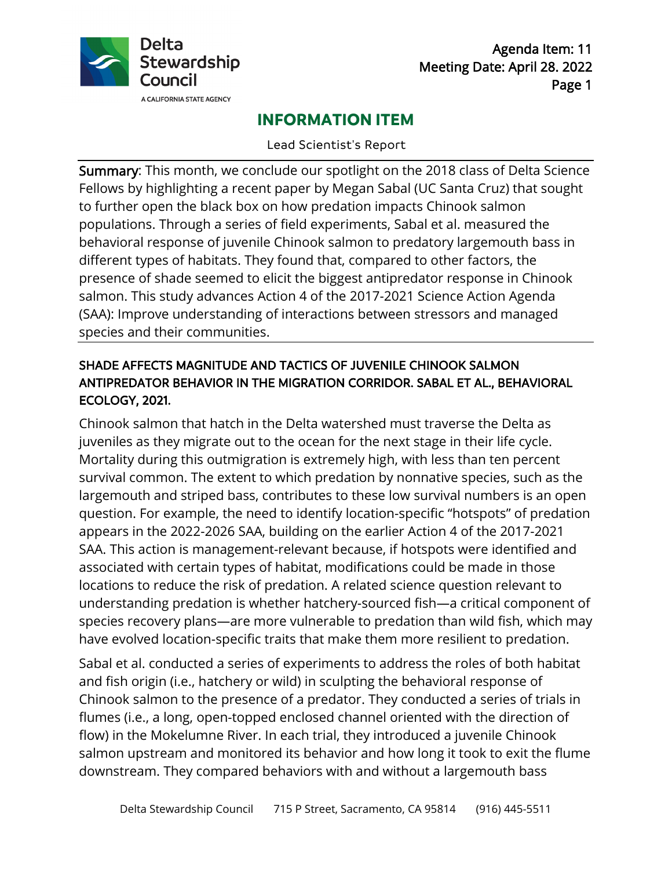

Agenda Item: 11 Meeting Date: April 28. 2022 Page 1

# **INFORMATION ITEM**

Lead Scientist's Report

 species and their communities. Summary: This month, we conclude our spotlight on the 2018 class of Delta Science Fellows by highlighting a recent paper by Megan Sabal (UC Santa Cruz) that sought to further open the black box on how predation impacts Chinook salmon populations. Through a series of field experiments, Sabal et al. measured the behavioral response of juvenile Chinook salmon to predatory largemouth bass in different types of habitats. They found that, compared to other factors, the presence of shade seemed to elicit the biggest antipredator response in Chinook salmon. This study advances Action 4 of the 2017-2021 Science Action Agenda (SAA): Improve understanding of interactions between stressors and managed

## ANTIPREDATOR BEHAVIOR IN THE MIGRATION CORRIDOR. SABAL ET AL., BEHAVIORAL SHADE AFFECTS MAGNITUDE AND TACTICS OF JUVENILE CHINOOK SALMON ECOLOGY, 2021.

 have evolved location-specific traits that make them more resilient to predation. Chinook salmon that hatch in the Delta watershed must traverse the Delta as juveniles as they migrate out to the ocean for the next stage in their life cycle. Mortality during this outmigration is extremely high, with less than ten percent survival common. The extent to which predation by nonnative species, such as the largemouth and striped bass, contributes to these low survival numbers is an open question. For example, the need to identify location-specific "hotspots" of predation appears in the 2022-2026 SAA, building on the earlier Action 4 of the 2017-2021 SAA. This action is management-relevant because, if hotspots were identified and associated with certain types of habitat, modifications could be made in those locations to reduce the risk of predation. A related science question relevant to understanding predation is whether hatchery-sourced fish—a critical component of species recovery plans—are more vulnerable to predation than wild fish, which may

 flumes (i.e., a long, open-topped enclosed channel oriented with the direction of downstream. They compared behaviors with and without a largemouth bass Sabal et al. conducted a series of experiments to address the roles of both habitat and fish origin (i.e., hatchery or wild) in sculpting the behavioral response of Chinook salmon to the presence of a predator. They conducted a series of trials in flow) in the Mokelumne River. In each trial, they introduced a juvenile Chinook salmon upstream and monitored its behavior and how long it took to exit the flume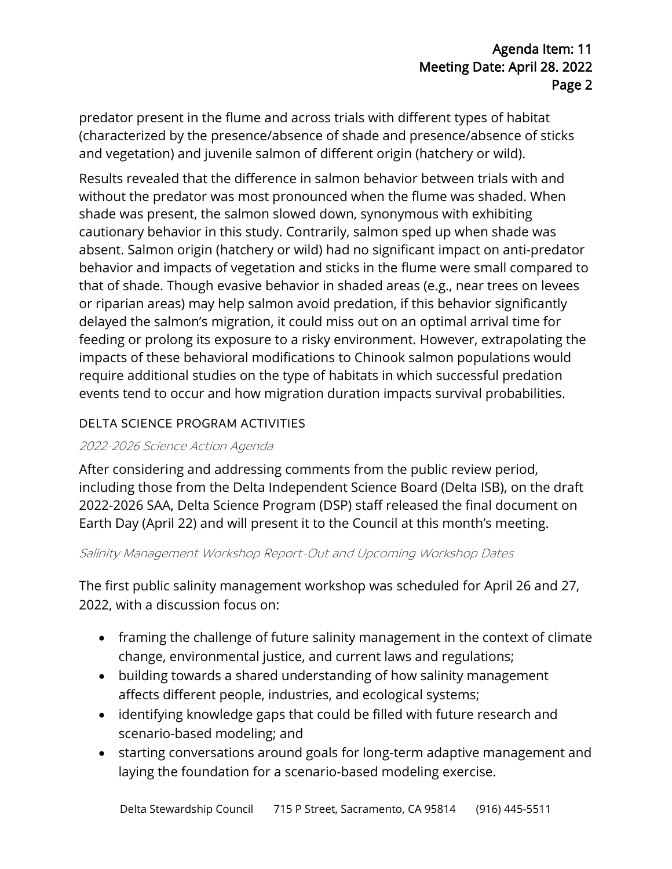predator present in the flume and across trials with different types of habitat (characterized by the presence/absence of shade and presence/absence of sticks and vegetation) and juvenile salmon of different origin (hatchery or wild).

Results revealed that the difference in salmon behavior between trials with and without the predator was most pronounced when the flume was shaded. When shade was present, the salmon slowed down, synonymous with exhibiting cautionary behavior in this study. Contrarily, salmon sped up when shade was absent. Salmon origin (hatchery or wild) had no significant impact on anti-predator behavior and impacts of vegetation and sticks in the flume were small compared to that of shade. Though evasive behavior in shaded areas (e.g., near trees on levees or riparian areas) may help salmon avoid predation, if this behavior significantly delayed the salmon's migration, it could miss out on an optimal arrival time for feeding or prolong its exposure to a risky environment. However, extrapolating the impacts of these behavioral modifications to Chinook salmon populations would require additional studies on the type of habitats in which successful predation events tend to occur and how migration duration impacts survival probabilities.

### DELTA SCIENCE PROGRAM ACTIVITIES

### 2022-2026 Science Action Agenda

After considering and addressing comments from the public review period, including those from the Delta Independent Science Board (Delta ISB), on the draft 2022-2026 SAA, Delta Science Program (DSP) staff released the final document on Earth Day (April 22) and will present it to the Council at this month's meeting.

#### Salinity Management Workshop Report-Out and Upcoming Workshop Dates

 The first public salinity management workshop was scheduled for April 26 and 27, 2022, with a discussion focus on:

- framing the challenge of future salinity management in the context of climate change, environmental justice, and current laws and regulations;
- building towards a shared understanding of how salinity management affects different people, industries, and ecological systems;
- identifying knowledge gaps that could be filled with future research and scenario-based modeling; and
- starting conversations around goals for long-term adaptive management and laying the foundation for a scenario-based modeling exercise.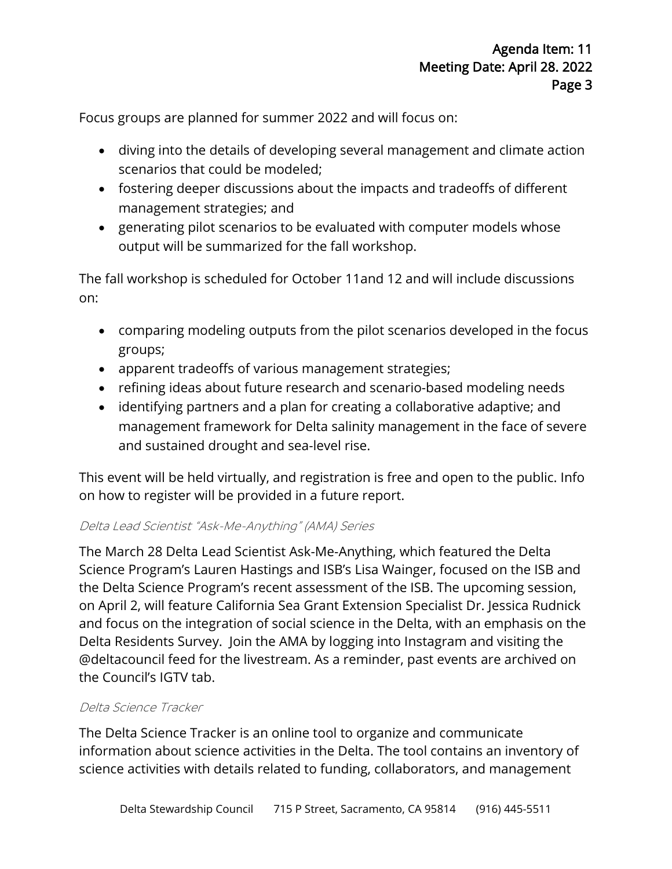Focus groups are planned for summer 2022 and will focus on:

- diving into the details of developing several management and climate action scenarios that could be modeled;
- fostering deeper discussions about the impacts and tradeoffs of different management strategies; and
- generating pilot scenarios to be evaluated with computer models whose output will be summarized for the fall workshop.

The fall workshop is scheduled for October 11and 12 and will include discussions on:

- comparing modeling outputs from the pilot scenarios developed in the focus groups;
- apparent tradeoffs of various management strategies;
- refining ideas about future research and scenario-based modeling needs
- identifying partners and a plan for creating a collaborative adaptive; and management framework for Delta salinity management in the face of severe and sustained drought and sea-level rise.

This event will be held virtually, and registration is free and open to the public. Info on how to register will be provided in a future report.

### Delta Lead Scientist "Ask-Me-Anything" (AMA) Series

The March 28 Delta Lead Scientist Ask-Me-Anything, which featured the Delta Science Program's Lauren Hastings and ISB's Lisa Wainger, focused on the ISB and the Delta Science Program's recent assessment of the ISB. The upcoming session, on April 2, will feature California Sea Grant Extension Specialist Dr. Jessica Rudnick and focus on the integration of social science in the Delta, with an emphasis on the Delta Residents Survey. Join the AMA by logging into Instagram and visiting the @deltacouncil feed for the livestream. As a reminder, past events are archived on the Council's IGTV tab.

### Delta Science Tracker

 information about science activities in the Delta. The tool contains an inventory of The Delta Science Tracker is an online tool to organize and communicate science activities with details related to funding, collaborators, and management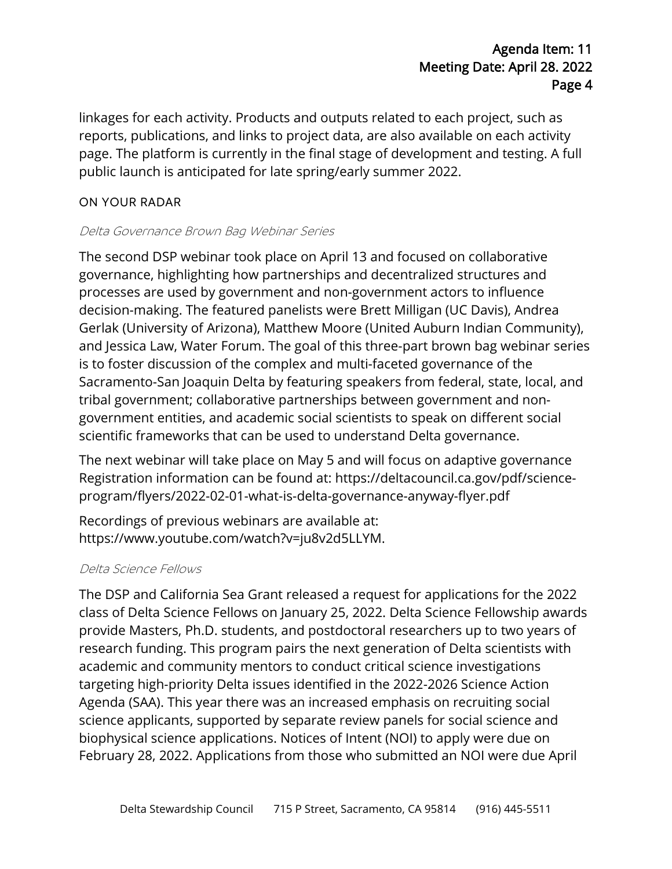## Agenda Item: 11 Meeting Date: April 28. 2022 Page 4

 public launch is anticipated for late spring/early summer 2022. linkages for each activity. Products and outputs related to each project, such as reports, publications, and links to project data, are also available on each activity page. The platform is currently in the final stage of development and testing. A full

### ON YOUR RADAR

### Delta Governance Brown Bag Webinar Series

 The second DSP webinar took place on April 13 and focused on collaborative decision-making. The featured panelists were Brett Milligan (UC Davis), Andrea Gerlak (University of Arizona), Matthew Moore (United Auburn Indian Community), governance, highlighting how partnerships and decentralized structures and processes are used by government and non-government actors to influence and Jessica Law, Water Forum. The goal of this three-part brown bag webinar series is to foster discussion of the complex and multi-faceted governance of the Sacramento-San Joaquin Delta by featuring speakers from federal, state, local, and tribal government; collaborative partnerships between government and nongovernment entities, and academic social scientists to speak on different social scientific frameworks that can be used to understand Delta governance.

, The next webinar will take place on May 5 and will focus on adaptive governance Registration information can be found at: <https://deltacouncil.ca.gov/pdf/science>program/flyers/2022-02-01-what-is-delta-governance-anyway-flyer.pdf

 [https://www.youtube.com/watch?v=ju8v2d5LLYM.](https://www.youtube.com/watch?v=ju8v2d5LLYM) Recordings of previous webinars are available at:

### Delta Science Fellows

 provide Masters, Ph.D. students, and postdoctoral researchers up to two years of The DSP and California Sea Grant released a request for applications for the 2022 class of Delta Science Fellows on January 25, 2022. Delta Science Fellowship awards research funding. This program pairs the next generation of Delta scientists with academic and community mentors to conduct critical science investigations targeting high-priority Delta issues identified in the 2022-2026 Science Action Agenda (SAA). This year there was an increased emphasis on recruiting social science applicants, supported by separate review panels for social science and biophysical science applications. Notices of Intent (NOI) to apply were due on February 28, 2022. Applications from those who submitted an NOI were due April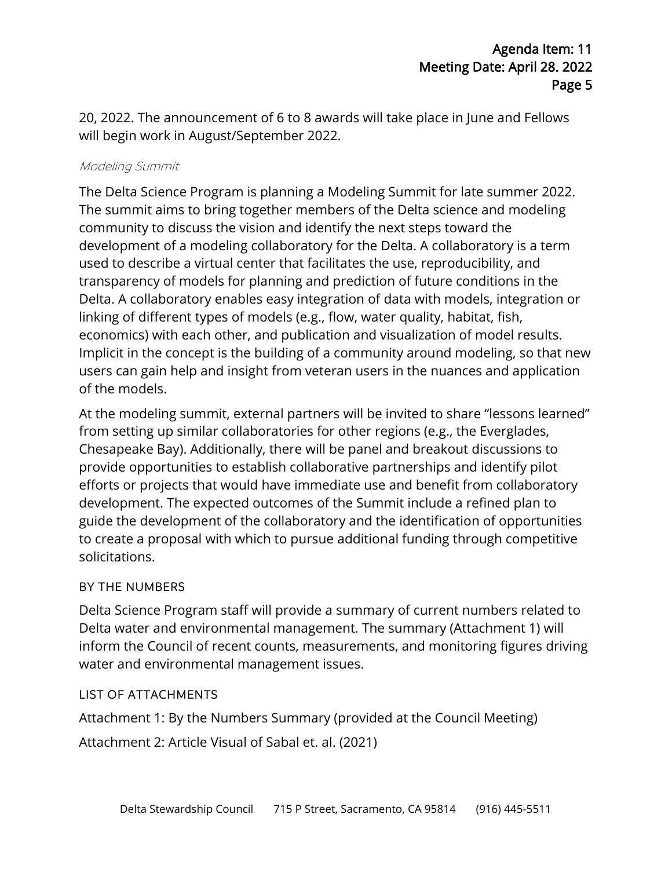20, 2022. The announcement of 6 to 8 awards will take place in June and Fellows will begin work in August/September 2022.

#### Modeling Summit

 economics) with each other, and publication and visualization of model results. The Delta Science Program is planning a Modeling Summit for late summer 2022. The summit aims to bring together members of the Delta science and modeling community to discuss the vision and identify the next steps toward the development of a modeling collaboratory for the Delta. A collaboratory is a term used to describe a virtual center that facilitates the use, reproducibility, and transparency of models for planning and prediction of future conditions in the Delta. A collaboratory enables easy integration of data with models, integration or linking of different types of models (e.g., flow, water quality, habitat, fish, Implicit in the concept is the building of a community around modeling, so that new users can gain help and insight from veteran users in the nuances and application of the models.

 guide the development of the collaboratory and the identification of opportunities At the modeling summit, external partners will be invited to share "lessons learned" from setting up similar collaboratories for other regions (e.g., the Everglades, Chesapeake Bay). Additionally, there will be panel and breakout discussions to provide opportunities to establish collaborative partnerships and identify pilot efforts or projects that would have immediate use and benefit from collaboratory development. The expected outcomes of the Summit include a refined plan to to create a proposal with which to pursue additional funding through competitive solicitations.

### BY THE NUMBERS

Delta Science Program staff will provide a summary of current numbers related to Delta water and environmental management. The summary (Attachment 1) will inform the Council of recent counts, measurements, and monitoring figures driving water and environmental management issues.

### LIST OF ATTACHMENTS

Attachment 1: By the Numbers Summary (provided at the Council Meeting)

Attachment 2: Article Visual of Sabal et. al. (2021)